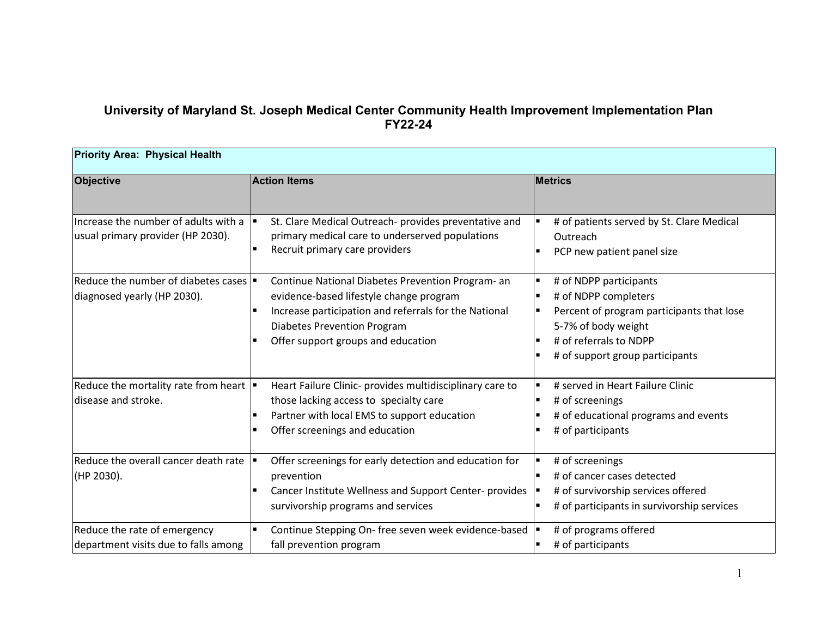## **University of Maryland St. Joseph Medical Center Community Health Improvement Implementation Plan FY22-24**

| <b>Priority Area: Physical Health</b>                                             |                                                                                                                                                                                                                                   |                                                                                                                                                                                 |  |  |
|-----------------------------------------------------------------------------------|-----------------------------------------------------------------------------------------------------------------------------------------------------------------------------------------------------------------------------------|---------------------------------------------------------------------------------------------------------------------------------------------------------------------------------|--|--|
| Objective                                                                         | <b>Action Items</b>                                                                                                                                                                                                               | <b>Metrics</b>                                                                                                                                                                  |  |  |
| Increase the number of adults with a<br>usual primary provider (HP 2030).         | St. Clare Medical Outreach- provides preventative and<br>primary medical care to underserved populations<br>Recruit primary care providers                                                                                        | # of patients served by St. Clare Medical<br>Outreach<br>PCP new patient panel size                                                                                             |  |  |
| Reduce the number of diabetes cases $\blacksquare$<br>diagnosed yearly (HP 2030). | Continue National Diabetes Prevention Program- an<br>evidence-based lifestyle change program<br>Increase participation and referrals for the National<br><b>Diabetes Prevention Program</b><br>Offer support groups and education | # of NDPP participants<br># of NDPP completers<br>Percent of program participants that lose<br>5-7% of body weight<br># of referrals to NDPP<br># of support group participants |  |  |
| Reduce the mortality rate from heart  <br>disease and stroke.                     | Heart Failure Clinic- provides multidisciplinary care to<br>those lacking access to specialty care<br>Partner with local EMS to support education<br>Offer screenings and education                                               | # served in Heart Failure Clinic<br># of screenings<br># of educational programs and events<br># of participants                                                                |  |  |
| Reduce the overall cancer death rate<br>(HP 2030).                                | Offer screenings for early detection and education for<br>prevention<br>Cancer Institute Wellness and Support Center- provides<br>survivorship programs and services                                                              | # of screenings<br># of cancer cases detected<br># of survivorship services offered<br># of participants in survivorship services                                               |  |  |
| Reduce the rate of emergency<br>department visits due to falls among              | Continue Stepping On- free seven week evidence-based<br>fall prevention program                                                                                                                                                   | # of programs offered<br># of participants                                                                                                                                      |  |  |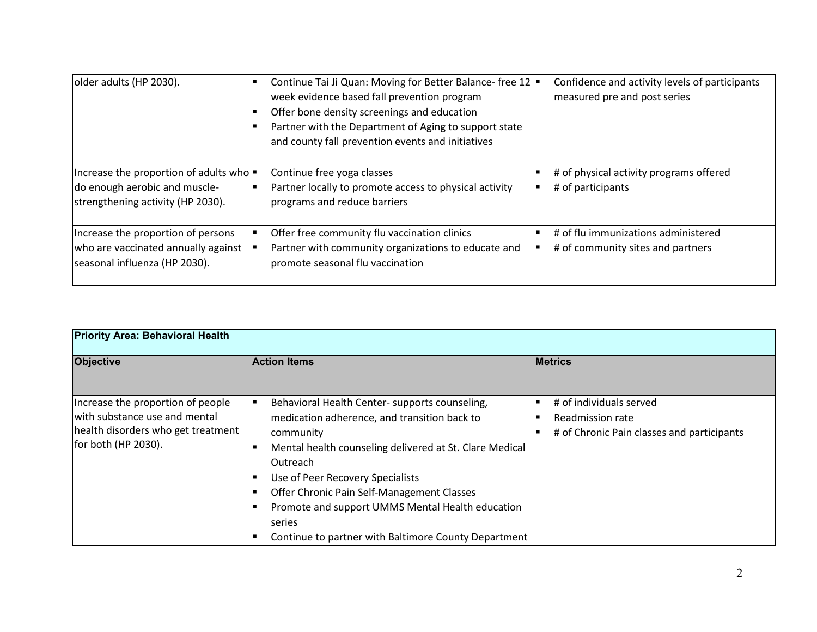| older adults (HP 2030).                                                                                     | Continue Tai Ji Quan: Moving for Better Balance-free 12  <br>week evidence based fall prevention program<br>Offer bone density screenings and education<br>Partner with the Department of Aging to support state<br>and county fall prevention events and initiatives | Confidence and activity levels of participants<br>measured pre and post series |
|-------------------------------------------------------------------------------------------------------------|-----------------------------------------------------------------------------------------------------------------------------------------------------------------------------------------------------------------------------------------------------------------------|--------------------------------------------------------------------------------|
| Increase the proportion of adults who<br>do enough aerobic and muscle-<br>strengthening activity (HP 2030). | Continue free yoga classes<br>Partner locally to promote access to physical activity<br>programs and reduce barriers                                                                                                                                                  | # of physical activity programs offered<br># of participants                   |
| Increase the proportion of persons<br>who are vaccinated annually against<br>seasonal influenza (HP 2030).  | Offer free community flu vaccination clinics<br>Partner with community organizations to educate and<br>promote seasonal flu vaccination                                                                                                                               | # of flu immunizations administered<br># of community sites and partners       |

| <b>Priority Area: Behavioral Health</b>                                                                                         |                                                                                                                                                                                                                                                                                                                                                                                            |                                                                                           |  |
|---------------------------------------------------------------------------------------------------------------------------------|--------------------------------------------------------------------------------------------------------------------------------------------------------------------------------------------------------------------------------------------------------------------------------------------------------------------------------------------------------------------------------------------|-------------------------------------------------------------------------------------------|--|
| <b>Objective</b>                                                                                                                | <b>Action Items</b>                                                                                                                                                                                                                                                                                                                                                                        | <b>Metrics</b>                                                                            |  |
| Increase the proportion of people<br>with substance use and mental<br>health disorders who get treatment<br>for both (HP 2030). | Behavioral Health Center- supports counseling,<br>medication adherence, and transition back to<br>community<br>Mental health counseling delivered at St. Clare Medical<br>Outreach<br>Use of Peer Recovery Specialists<br>Offer Chronic Pain Self-Management Classes<br>Promote and support UMMS Mental Health education<br>series<br>Continue to partner with Baltimore County Department | # of individuals served<br>Readmission rate<br># of Chronic Pain classes and participants |  |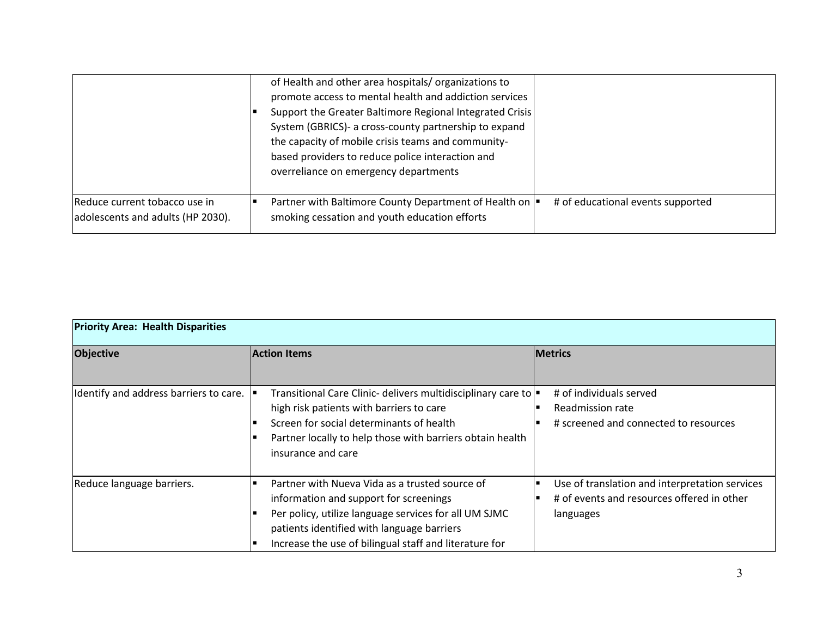|                                                                    | of Health and other area hospitals/organizations to<br>promote access to mental health and addiction services<br>Support the Greater Baltimore Regional Integrated Crisis<br>System (GBRICS)- a cross-county partnership to expand<br>the capacity of mobile crisis teams and community-<br>based providers to reduce police interaction and<br>overreliance on emergency departments |
|--------------------------------------------------------------------|---------------------------------------------------------------------------------------------------------------------------------------------------------------------------------------------------------------------------------------------------------------------------------------------------------------------------------------------------------------------------------------|
| Reduce current tobacco use in<br>adolescents and adults (HP 2030). | Partner with Baltimore County Department of Health on  <br># of educational events supported<br>smoking cessation and youth education efforts                                                                                                                                                                                                                                         |

| <b>Priority Area: Health Disparities</b> |                                                                                                                                                                                                                                                           |                                                                                                           |  |
|------------------------------------------|-----------------------------------------------------------------------------------------------------------------------------------------------------------------------------------------------------------------------------------------------------------|-----------------------------------------------------------------------------------------------------------|--|
| <b>Objective</b>                         | <b>Action Items</b>                                                                                                                                                                                                                                       | <b>Metrics</b>                                                                                            |  |
| Identify and address barriers to care.   | Transitional Care Clinic- delivers multidisciplinary care to =<br>high risk patients with barriers to care<br>Screen for social determinants of health<br>Partner locally to help those with barriers obtain health<br>insurance and care                 | # of individuals served<br>Readmission rate<br># screened and connected to resources                      |  |
| Reduce language barriers.                | Partner with Nueva Vida as a trusted source of<br>information and support for screenings<br>Per policy, utilize language services for all UM SJMC<br>patients identified with language barriers<br>Increase the use of bilingual staff and literature for | Use of translation and interpretation services<br># of events and resources offered in other<br>languages |  |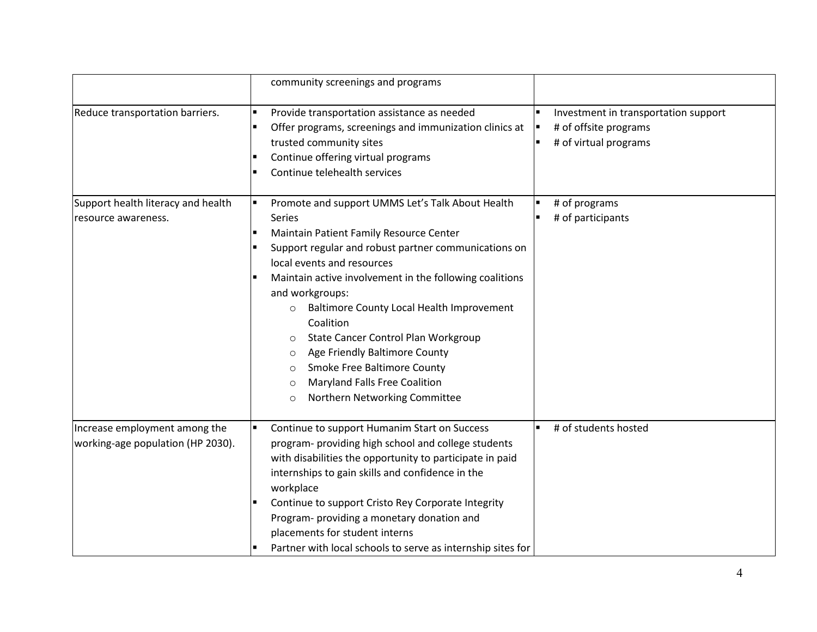|                                                                    | community screenings and programs                                                                                                                                                                                                                                                                                                                                                                                                                                                                                                                                                            |                                                                                             |
|--------------------------------------------------------------------|----------------------------------------------------------------------------------------------------------------------------------------------------------------------------------------------------------------------------------------------------------------------------------------------------------------------------------------------------------------------------------------------------------------------------------------------------------------------------------------------------------------------------------------------------------------------------------------------|---------------------------------------------------------------------------------------------|
| Reduce transportation barriers.                                    | Provide transportation assistance as needed<br>Offer programs, screenings and immunization clinics at<br>trusted community sites<br>Continue offering virtual programs<br>Continue telehealth services                                                                                                                                                                                                                                                                                                                                                                                       | Investment in transportation support<br># of offsite programs<br>п<br># of virtual programs |
| Support health literacy and health<br>resource awareness.          | Promote and support UMMS Let's Talk About Health<br><b>Series</b><br>Maintain Patient Family Resource Center<br>Support regular and robust partner communications on<br>local events and resources<br>Maintain active involvement in the following coalitions<br>and workgroups:<br>Baltimore County Local Health Improvement<br>$\circ$<br>Coalition<br>State Cancer Control Plan Workgroup<br>$\circ$<br>Age Friendly Baltimore County<br>$\circ$<br>Smoke Free Baltimore County<br>$\circ$<br><b>Maryland Falls Free Coalition</b><br>$\circ$<br>Northern Networking Committee<br>$\circ$ | # of programs<br># of participants                                                          |
| Increase employment among the<br>working-age population (HP 2030). | Continue to support Humanim Start on Success<br>program- providing high school and college students<br>with disabilities the opportunity to participate in paid<br>internships to gain skills and confidence in the<br>workplace<br>Continue to support Cristo Rey Corporate Integrity<br>Program- providing a monetary donation and<br>placements for student interns<br>Partner with local schools to serve as internship sites for                                                                                                                                                        | # of students hosted                                                                        |